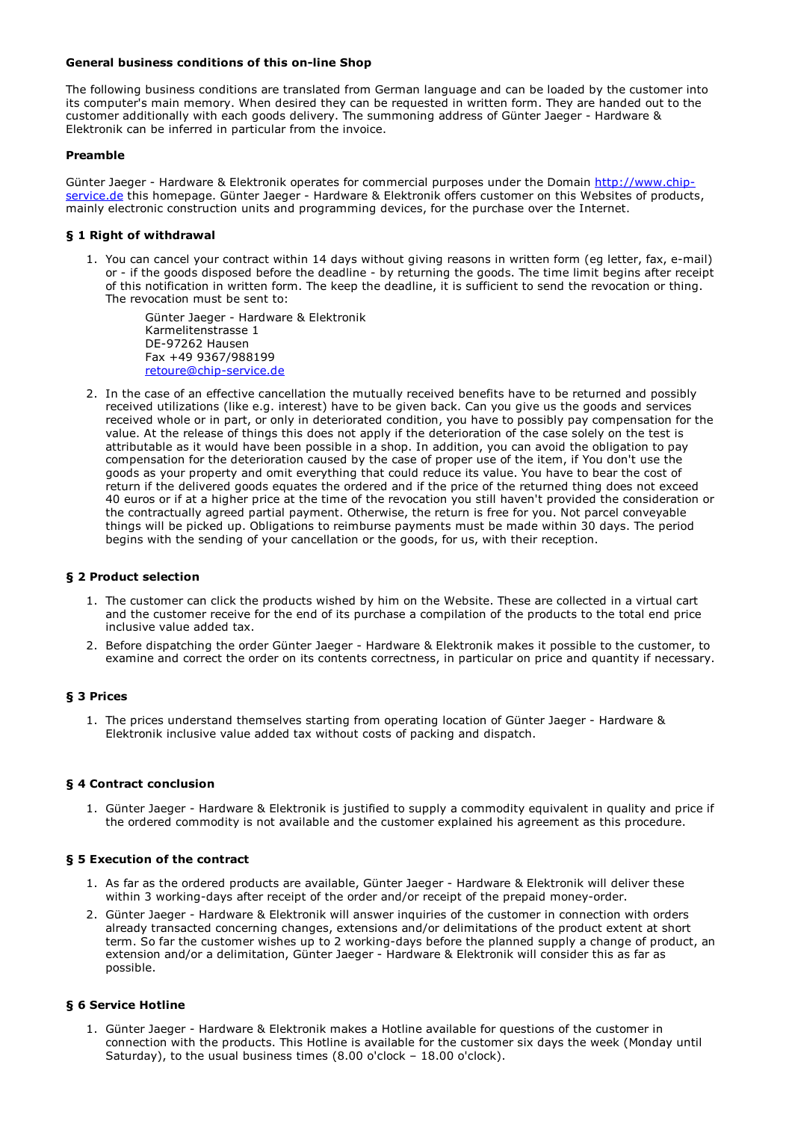## General business conditions of this on-line Shop

The following business conditions are translated from German language and can be loaded by the customer into its computer's main memory. When desired they can be requested in written form. They are handed out to the customer additionally with each goods delivery. The summoning address of Günter Jaeger - Hardware & Elektronik can be inferred in particular from the invoice.

## Preamble

Günter Jaeger - Hardware & Elektronik operates for commercial purposes under the Domain http://www.chipservice.de this homepage. Günter Jaeger - Hardware & Elektronik offers customer on this Websites of products, mainly electronic construction units and programming devices, for the purchase over the Internet.

# § 1 Right of withdrawal

1. You can cancel your contract within 14 days without giving reasons in written form (eg letter, fax, e-mail) or - if the goods disposed before the deadline - by returning the goods. The time limit begins after receipt of this notification in written form. The keep the deadline, it is sufficient to send the revocation or thing. The revocation must be sent to:

Günter Jaeger - Hardware & Elektronik Karmelitenstrasse 1 DE-97262 Hausen Fax +49 9367/988199 retoure@chip-service.de

2. In the case of an effective cancellation the mutually received benefits have to be returned and possibly received utilizations (like e.g. interest) have to be given back. Can you give us the goods and services received whole or in part, or only in deteriorated condition, you have to possibly pay compensation for the value. At the release of things this does not apply if the deterioration of the case solely on the test is attributable as it would have been possible in a shop. In addition, you can avoid the obligation to pay compensation for the deterioration caused by the case of proper use of the item, if You don't use the goods as your property and omit everything that could reduce its value. You have to bear the cost of return if the delivered goods equates the ordered and if the price of the returned thing does not exceed 40 euros or if at a higher price at the time of the revocation you still haven't provided the consideration or the contractually agreed partial payment. Otherwise, the return is free for you. Not parcel conveyable things will be picked up. Obligations to reimburse payments must be made within 30 days. The period begins with the sending of your cancellation or the goods, for us, with their reception.

## § 2 Product selection

- 1. The customer can click the products wished by him on the Website. These are collected in a virtual cart and the customer receive for the end of its purchase a compilation of the products to the total end price inclusive value added tax.
- 2. Before dispatching the order Günter Jaeger Hardware & Elektronik makes it possible to the customer, to examine and correct the order on its contents correctness, in particular on price and quantity if necessary.

# § 3 Prices

1. The prices understand themselves starting from operating location of Günter Jaeger - Hardware & Elektronik inclusive value added tax without costs of packing and dispatch.

### § 4 Contract conclusion

1. Günter Jaeger - Hardware & Elektronik is justified to supply a commodity equivalent in quality and price if the ordered commodity is not available and the customer explained his agreement as this procedure.

### § 5 Execution of the contract

- 1. As far as the ordered products are available, Günter Jaeger Hardware & Elektronik will deliver these within 3 working-days after receipt of the order and/or receipt of the prepaid money-order.
- 2. Günter Jaeger Hardware & Elektronik will answer inquiries of the customer in connection with orders already transacted concerning changes, extensions and/or delimitations of the product extent at short term. So far the customer wishes up to 2 working-days before the planned supply a change of product, an extension and/or a delimitation, Günter Jaeger - Hardware & Elektronik will consider this as far as possible.

# § 6 Service Hotline

1. Günter Jaeger - Hardware & Elektronik makes a Hotline available for questions of the customer in connection with the products. This Hotline is available for the customer six days the week (Monday until Saturday), to the usual business times (8.00 o'clock – 18.00 o'clock).